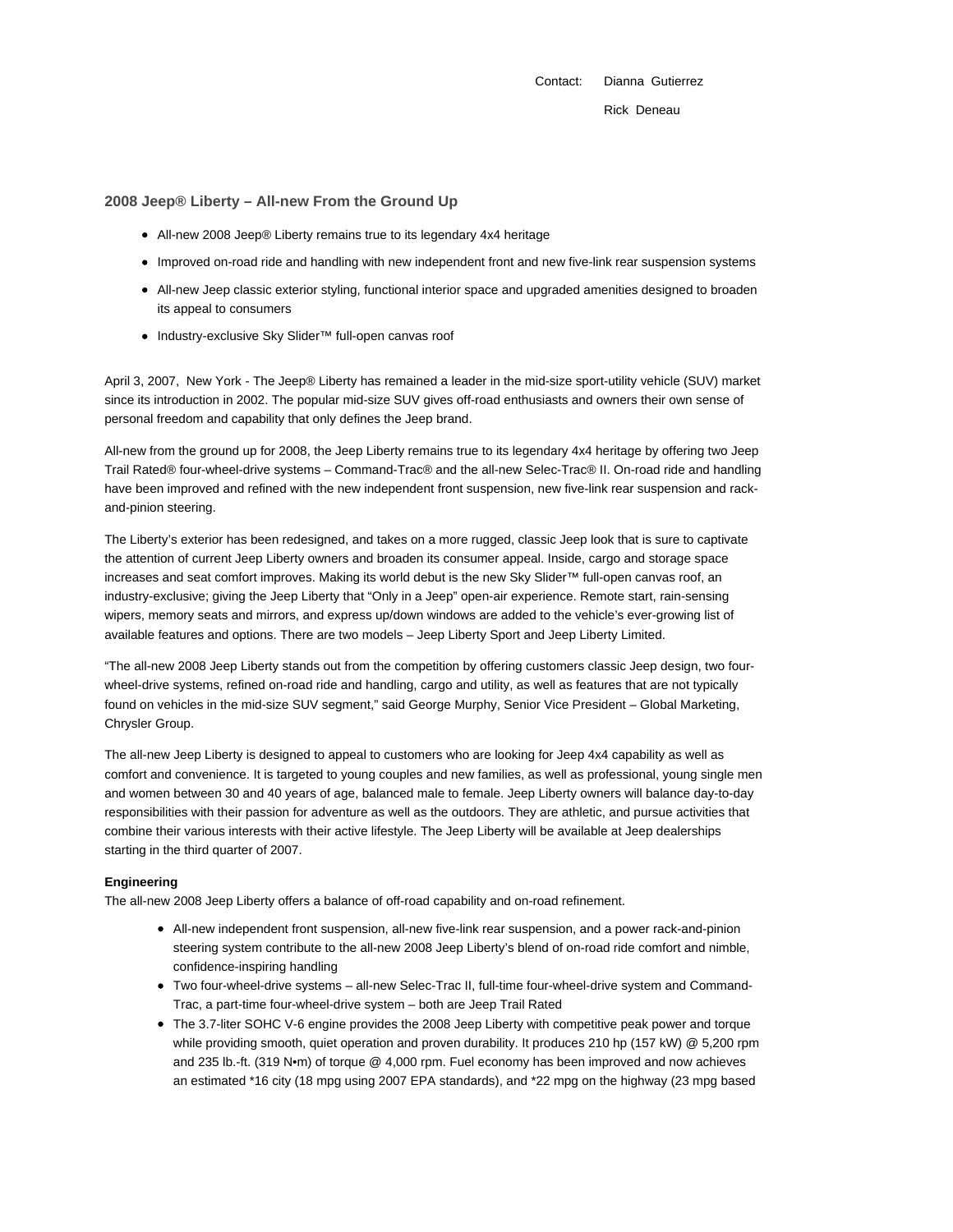Contact: Dianna Gutierrez Rick Deneau

# **2008 Jeep® Liberty – All-new From the Ground Up**

- All-new 2008 Jeep® Liberty remains true to its legendary 4x4 heritage
- Improved on-road ride and handling with new independent front and new five-link rear suspension systems
- All-new Jeep classic exterior styling, functional interior space and upgraded amenities designed to broaden its appeal to consumers
- Industry-exclusive Sky Slider™ full-open canvas roof

April 3, 2007, New York - The Jeep® Liberty has remained a leader in the mid-size sport-utility vehicle (SUV) market since its introduction in 2002. The popular mid-size SUV gives off-road enthusiasts and owners their own sense of personal freedom and capability that only defines the Jeep brand.

All-new from the ground up for 2008, the Jeep Liberty remains true to its legendary 4x4 heritage by offering two Jeep Trail Rated® four-wheel-drive systems – Command-Trac® and the all-new Selec-Trac® II. On-road ride and handling have been improved and refined with the new independent front suspension, new five-link rear suspension and rackand-pinion steering.

The Liberty's exterior has been redesigned, and takes on a more rugged, classic Jeep look that is sure to captivate the attention of current Jeep Liberty owners and broaden its consumer appeal. Inside, cargo and storage space increases and seat comfort improves. Making its world debut is the new Sky Slider™ full-open canvas roof, an industry-exclusive; giving the Jeep Liberty that "Only in a Jeep" open-air experience. Remote start, rain-sensing wipers, memory seats and mirrors, and express up/down windows are added to the vehicle's ever-growing list of available features and options. There are two models – Jeep Liberty Sport and Jeep Liberty Limited.

"The all-new 2008 Jeep Liberty stands out from the competition by offering customers classic Jeep design, two fourwheel-drive systems, refined on-road ride and handling, cargo and utility, as well as features that are not typically found on vehicles in the mid-size SUV segment," said George Murphy, Senior Vice President – Global Marketing, Chrysler Group.

The all-new Jeep Liberty is designed to appeal to customers who are looking for Jeep 4x4 capability as well as comfort and convenience. It is targeted to young couples and new families, as well as professional, young single men and women between 30 and 40 years of age, balanced male to female. Jeep Liberty owners will balance day-to-day responsibilities with their passion for adventure as well as the outdoors. They are athletic, and pursue activities that combine their various interests with their active lifestyle. The Jeep Liberty will be available at Jeep dealerships starting in the third quarter of 2007.

#### **Engineering**

The all-new 2008 Jeep Liberty offers a balance of off-road capability and on-road refinement.

- All-new independent front suspension, all-new five-link rear suspension, and a power rack-and-pinion steering system contribute to the all-new 2008 Jeep Liberty's blend of on-road ride comfort and nimble, confidence-inspiring handling
- Two four-wheel-drive systems all-new Selec-Trac II, full-time four-wheel-drive system and Command-Trac, a part-time four-wheel-drive system – both are Jeep Trail Rated
- The 3.7-liter SOHC V-6 engine provides the 2008 Jeep Liberty with competitive peak power and torque while providing smooth, quiet operation and proven durability. It produces 210 hp (157 kW) @ 5,200 rpm and 235 lb.-ft. (319 N•m) of torque @ 4,000 rpm. Fuel economy has been improved and now achieves an estimated \*16 city (18 mpg using 2007 EPA standards), and \*22 mpg on the highway (23 mpg based